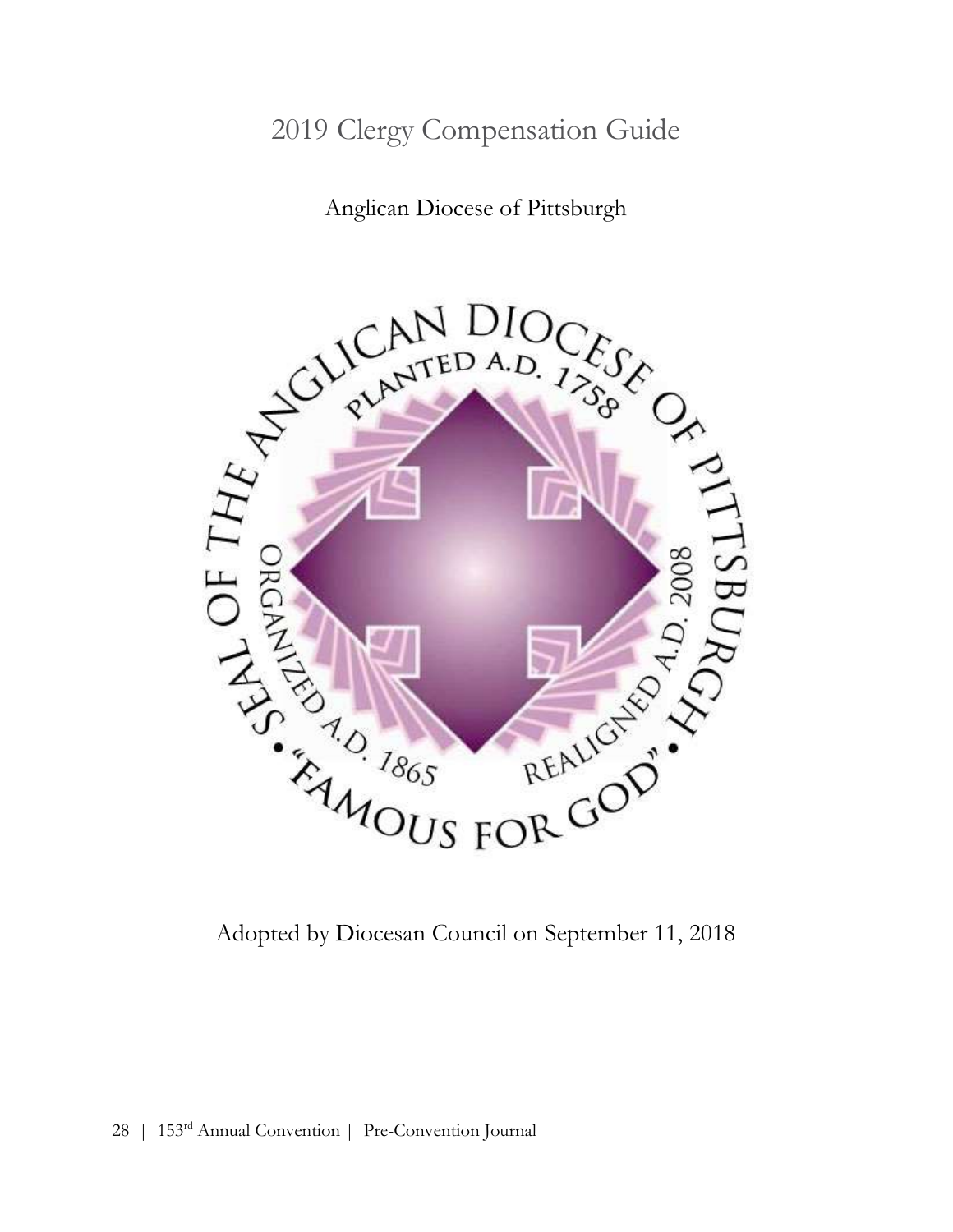# 2019 Clergy Compensation Guide

Anglican Diocese of Pittsburgh

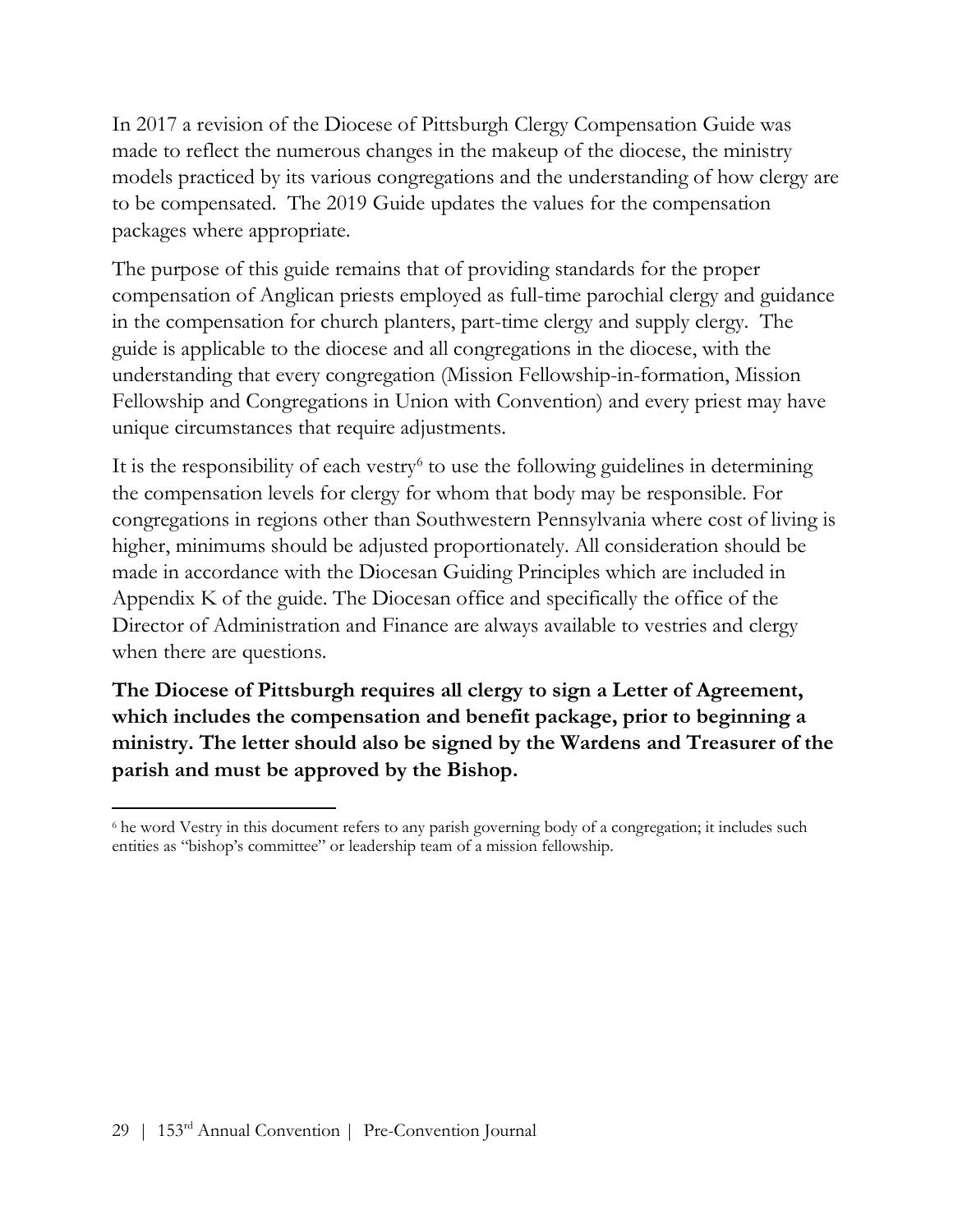In 2017 a revision of the Diocese of Pittsburgh Clergy Compensation Guide was made to reflect the numerous changes in the makeup of the diocese, the ministry models practiced by its various congregations and the understanding of how clergy are to be compensated. The 2019 Guide updates the values for the compensation packages where appropriate.

The purpose of this guide remains that of providing standards for the proper compensation of Anglican priests employed as full-time parochial clergy and guidance in the compensation for church planters, part-time clergy and supply clergy. The guide is applicable to the diocese and all congregations in the diocese, with the understanding that every congregation (Mission Fellowship-in-formation, Mission Fellowship and Congregations in Union with Convention) and every priest may have unique circumstances that require adjustments.

It is the responsibility of each vestry<sup>6</sup> to use the following guidelines in determining the compensation levels for clergy for whom that body may be responsible. For congregations in regions other than Southwestern Pennsylvania where cost of living is higher, minimums should be adjusted proportionately. All consideration should be made in accordance with the Diocesan Guiding Principles which are included in Appendix K of the guide. The Diocesan office and specifically the office of the Director of Administration and Finance are always available to vestries and clergy when there are questions.

The Diocese of Pittsburgh requires all clergy to sign a Letter of Agreement, which includes the compensation and benefit package, prior to beginning a ministry. The letter should also be signed by the Wardens and Treasurer of the parish and must be approved by the Bishop.

 $\overline{a}$ <sup>6</sup> he word Vestry in this document refers to any parish governing body of a congregation; it includes such entities as "bishop's committee" or leadership team of a mission fellowship.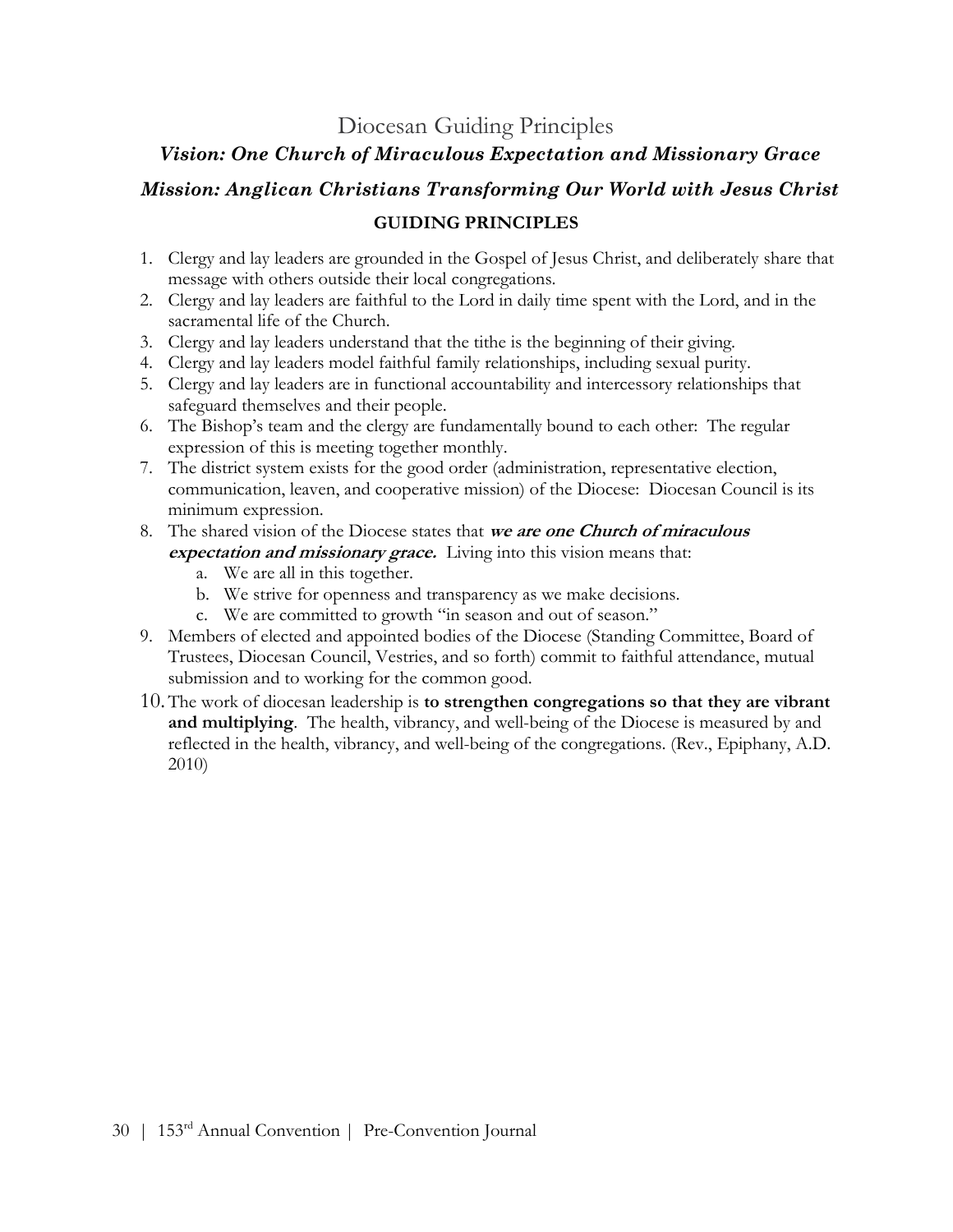### Diocesan Guiding Principles

#### Vision: One Church of Miraculous Expectation and Missionary Grace

## Mission: Anglican Christians Transforming Our World with Jesus Christ GUIDING PRINCIPLES

- 1. Clergy and lay leaders are grounded in the Gospel of Jesus Christ, and deliberately share that message with others outside their local congregations.
- 2. Clergy and lay leaders are faithful to the Lord in daily time spent with the Lord, and in the sacramental life of the Church.
- 3. Clergy and lay leaders understand that the tithe is the beginning of their giving.
- 4. Clergy and lay leaders model faithful family relationships, including sexual purity.
- 5. Clergy and lay leaders are in functional accountability and intercessory relationships that safeguard themselves and their people.
- 6. The Bishop's team and the clergy are fundamentally bound to each other: The regular expression of this is meeting together monthly.
- 7. The district system exists for the good order (administration, representative election, communication, leaven, and cooperative mission) of the Diocese: Diocesan Council is its minimum expression.
- 8. The shared vision of the Diocese states that we are one Church of miraculous expectation and missionary grace. Living into this vision means that:
	- a. We are all in this together.
	- b. We strive for openness and transparency as we make decisions.
	- c. We are committed to growth "in season and out of season."
- 9. Members of elected and appointed bodies of the Diocese (Standing Committee, Board of Trustees, Diocesan Council, Vestries, and so forth) commit to faithful attendance, mutual submission and to working for the common good.
- 10.The work of diocesan leadership is to strengthen congregations so that they are vibrant and multiplying. The health, vibrancy, and well-being of the Diocese is measured by and reflected in the health, vibrancy, and well-being of the congregations. (Rev., Epiphany, A.D. 2010)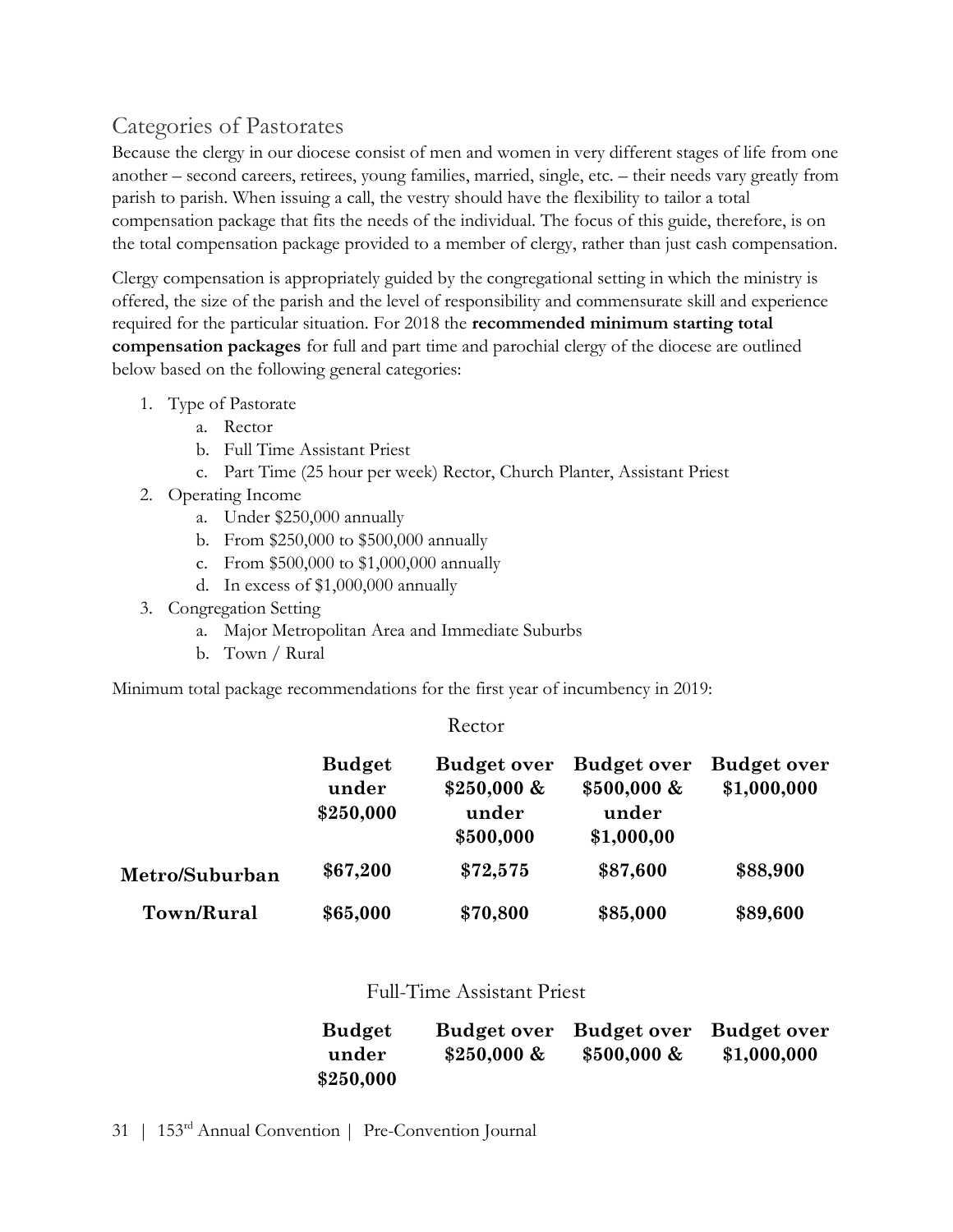## Categories of Pastorates

Because the clergy in our diocese consist of men and women in very different stages of life from one another – second careers, retirees, young families, married, single, etc. – their needs vary greatly from parish to parish. When issuing a call, the vestry should have the flexibility to tailor a total compensation package that fits the needs of the individual. The focus of this guide, therefore, is on the total compensation package provided to a member of clergy, rather than just cash compensation.

Clergy compensation is appropriately guided by the congregational setting in which the ministry is offered, the size of the parish and the level of responsibility and commensurate skill and experience required for the particular situation. For 2018 the recommended minimum starting total compensation packages for full and part time and parochial clergy of the diocese are outlined below based on the following general categories:

- 1. Type of Pastorate
	- a. Rector
	- b. Full Time Assistant Priest
	- c. Part Time (25 hour per week) Rector, Church Planter, Assistant Priest
- 2. Operating Income
	- a. Under \$250,000 annually
	- b. From \$250,000 to \$500,000 annually
	- c. From \$500,000 to \$1,000,000 annually
	- d. In excess of \$1,000,000 annually
- 3. Congregation Setting
	- a. Major Metropolitan Area and Immediate Suburbs
	- b. Town / Rural

Minimum total package recommendations for the first year of incumbency in 2019:

#### Rector

|                | <b>Budget</b><br>under<br>\$250,000 | <b>Budget over</b><br>$$250,000 \&$<br>under<br>\$500,000 | <b>Budget over</b><br>$$500,000 \&$<br>under<br>\$1,000,00 | <b>Budget over</b><br>\$1,000,000 |
|----------------|-------------------------------------|-----------------------------------------------------------|------------------------------------------------------------|-----------------------------------|
| Metro/Suburban | \$67,200                            | \$72,575                                                  | \$87,600                                                   | \$88,900                          |
| Town/Rural     | \$65,000                            | \$70,800                                                  | \$85,000                                                   | \$89,600                          |

#### Full-Time Assistant Priest

| <b>Budget</b> |               | Budget over Budget over Budget over |             |
|---------------|---------------|-------------------------------------|-------------|
| under         | $$250,000 \&$ | $$500,000 \&$                       | \$1,000,000 |
| \$250,000     |               |                                     |             |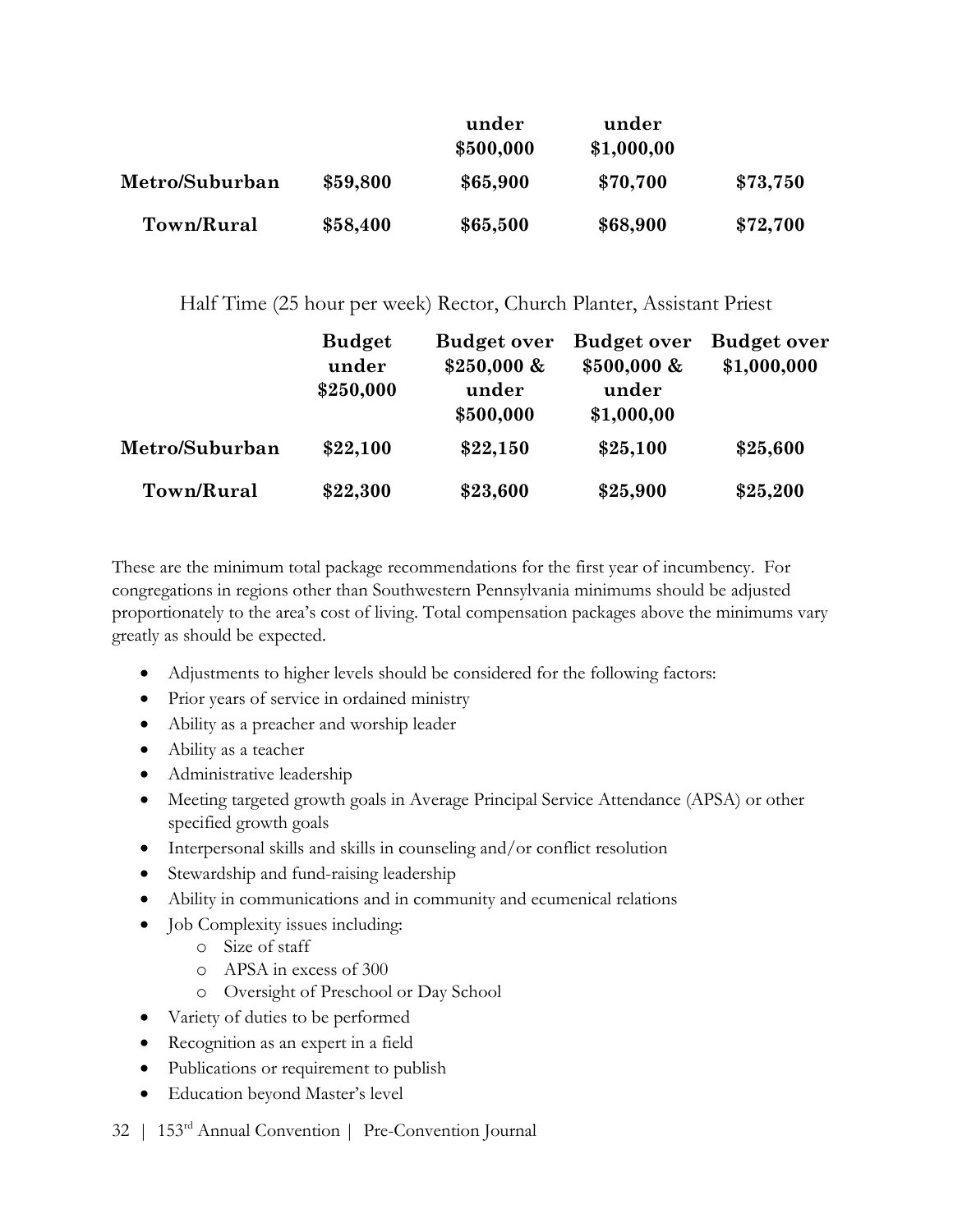|                |          | under<br>\$500,000 | under<br>\$1,000,00 |          |
|----------------|----------|--------------------|---------------------|----------|
| Metro/Suburban | \$59,800 | \$65,900           | \$70,700            | \$73,750 |
| Town/Rural     | \$58,400 | \$65,500           | \$68,900            | \$72,700 |

Half Time (25 hour per week) Rector, Church Planter, Assistant Priest

|                | <b>Budget</b><br>under | <b>Budget over</b><br>$$250,000 \&$ | <b>Budget over</b><br>$$500,000 \&$ | <b>Budget over</b><br>\$1,000,000 |
|----------------|------------------------|-------------------------------------|-------------------------------------|-----------------------------------|
|                | \$250,000              | under<br>\$500,000                  | under<br>\$1,000,00                 |                                   |
| Metro/Suburban | \$22,100               | \$22,150                            | \$25,100                            | \$25,600                          |
| Town/Rural     | \$22,300               | \$23,600                            | \$25,900                            | \$25,200                          |

These are the minimum total package recommendations for the first year of incumbency. For congregations in regions other than Southwestern Pennsylvania minimums should be adjusted proportionately to the area's cost of living. Total compensation packages above the minimums vary greatly as should be expected.

- Adjustments to higher levels should be considered for the following factors:
- Prior years of service in ordained ministry
- Ability as a preacher and worship leader
- Ability as a teacher
- Administrative leadership
- Meeting targeted growth goals in Average Principal Service Attendance (APSA) or other specified growth goals
- Interpersonal skills and skills in counseling and/or conflict resolution
- Stewardship and fund-raising leadership
- Ability in communications and in community and ecumenical relations
- Job Complexity issues including:
	- o Size of staff
	- o APSA in excess of 300
	- o Oversight of Preschool or Day School
- Variety of duties to be performed
- Recognition as an expert in a field
- Publications or requirement to publish
- Education beyond Master's level
- 32 | 153rd Annual Convention | Pre-Convention Journal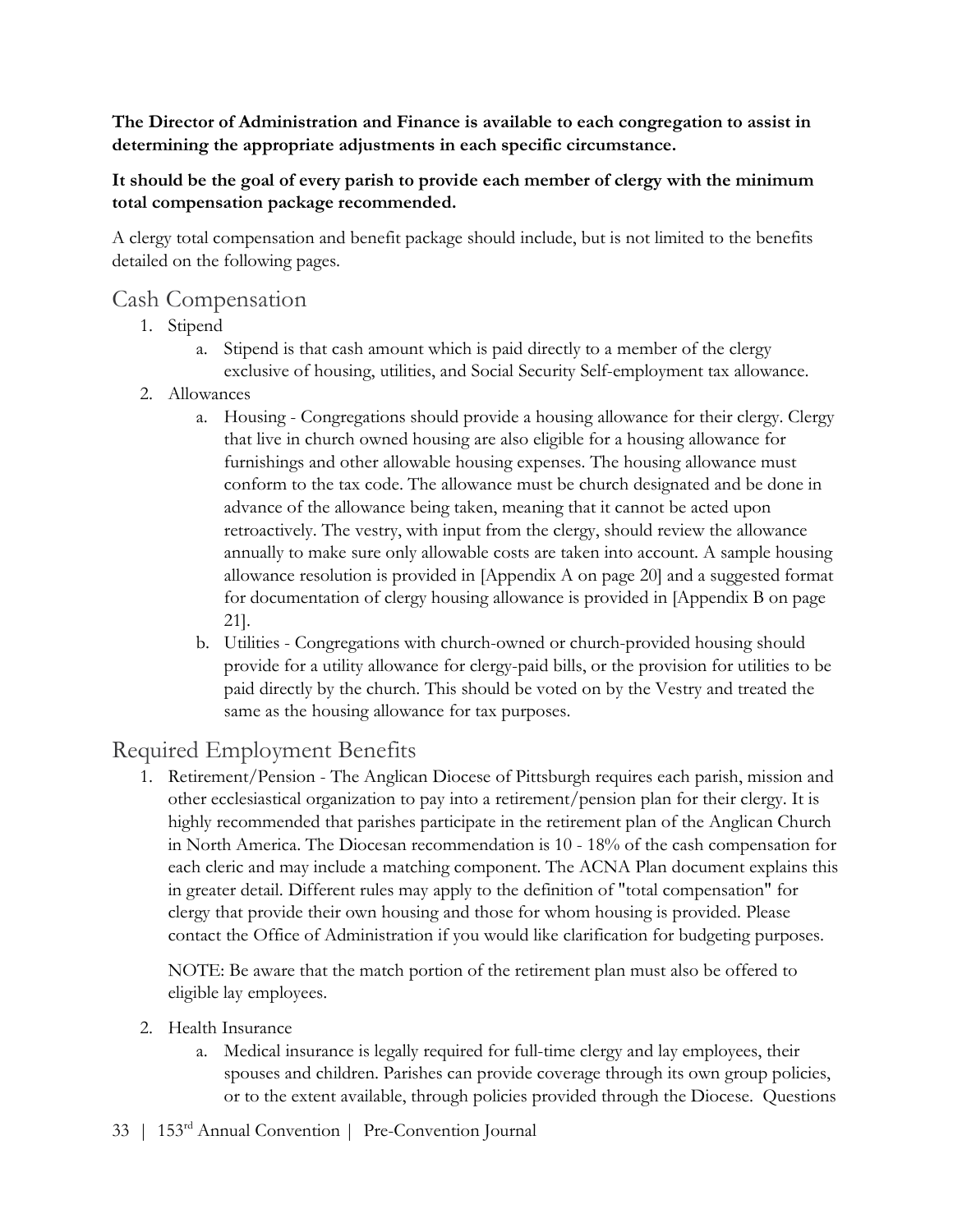The Director of Administration and Finance is available to each congregation to assist in determining the appropriate adjustments in each specific circumstance.

#### It should be the goal of every parish to provide each member of clergy with the minimum total compensation package recommended.

A clergy total compensation and benefit package should include, but is not limited to the benefits detailed on the following pages.

#### Cash Compensation

- 1. Stipend
	- a. Stipend is that cash amount which is paid directly to a member of the clergy exclusive of housing, utilities, and Social Security Self-employment tax allowance.
- 2. Allowances
	- a. Housing Congregations should provide a housing allowance for their clergy. Clergy that live in church owned housing are also eligible for a housing allowance for furnishings and other allowable housing expenses. The housing allowance must conform to the tax code. The allowance must be church designated and be done in advance of the allowance being taken, meaning that it cannot be acted upon retroactively. The vestry, with input from the clergy, should review the allowance annually to make sure only allowable costs are taken into account. A sample housing allowance resolution is provided in [Appendix A on page 20] and a suggested format for documentation of clergy housing allowance is provided in [Appendix B on page 21].
	- b. Utilities Congregations with church-owned or church-provided housing should provide for a utility allowance for clergy-paid bills, or the provision for utilities to be paid directly by the church. This should be voted on by the Vestry and treated the same as the housing allowance for tax purposes.

### Required Employment Benefits

1. Retirement/Pension - The Anglican Diocese of Pittsburgh requires each parish, mission and other ecclesiastical organization to pay into a retirement/pension plan for their clergy. It is highly recommended that parishes participate in the retirement plan of the Anglican Church in North America. The Diocesan recommendation is 10 - 18% of the cash compensation for each cleric and may include a matching component. The ACNA Plan document explains this in greater detail. Different rules may apply to the definition of "total compensation" for clergy that provide their own housing and those for whom housing is provided. Please contact the Office of Administration if you would like clarification for budgeting purposes.

NOTE: Be aware that the match portion of the retirement plan must also be offered to eligible lay employees.

- 2. Health Insurance
	- a. Medical insurance is legally required for full-time clergy and lay employees, their spouses and children. Parishes can provide coverage through its own group policies, or to the extent available, through policies provided through the Diocese. Questions
- 33 | 153rd Annual Convention | Pre-Convention Journal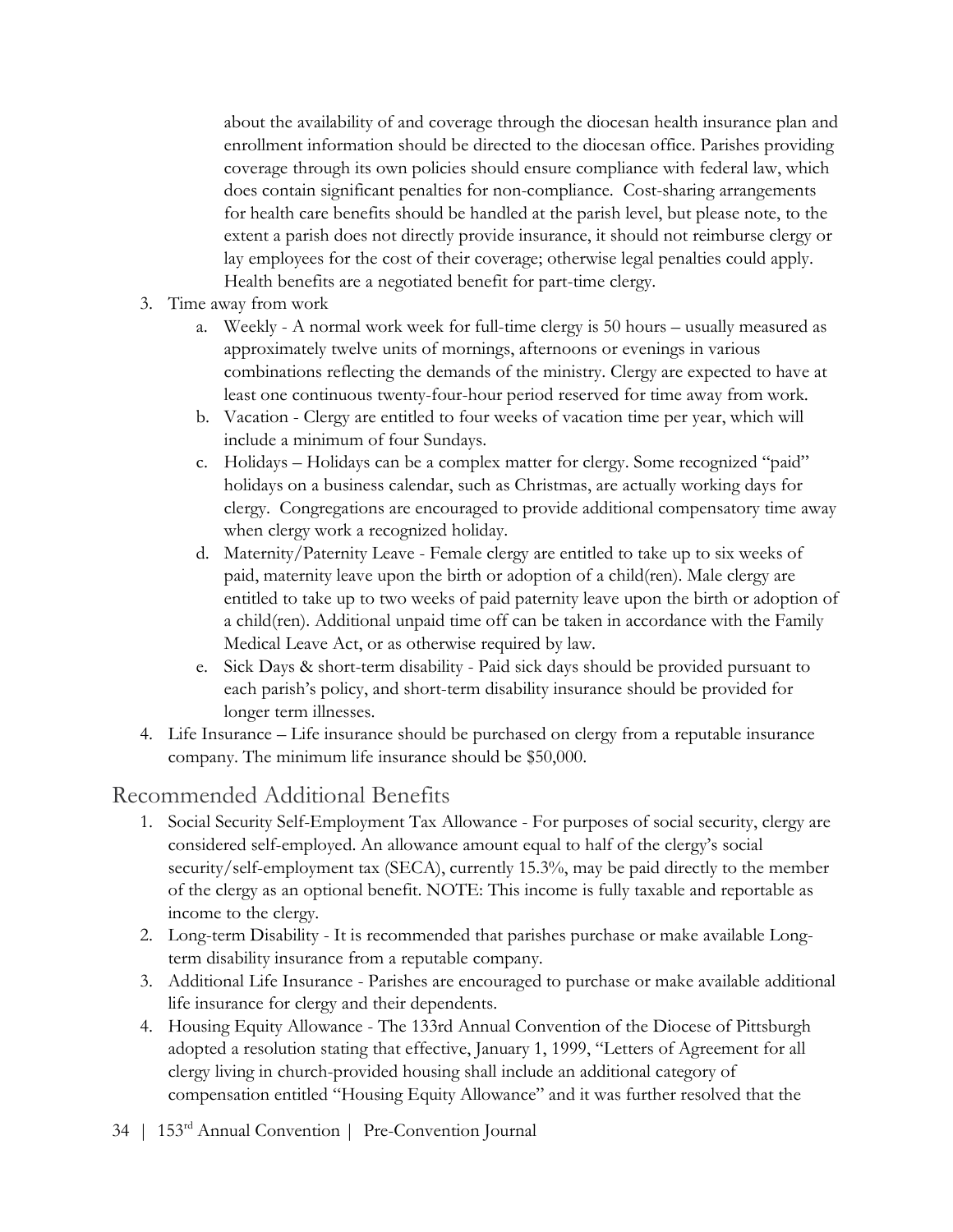about the availability of and coverage through the diocesan health insurance plan and enrollment information should be directed to the diocesan office. Parishes providing coverage through its own policies should ensure compliance with federal law, which does contain significant penalties for non-compliance. Cost-sharing arrangements for health care benefits should be handled at the parish level, but please note, to the extent a parish does not directly provide insurance, it should not reimburse clergy or lay employees for the cost of their coverage; otherwise legal penalties could apply. Health benefits are a negotiated benefit for part-time clergy.

- 3. Time away from work
	- a. Weekly A normal work week for full-time clergy is 50 hours usually measured as approximately twelve units of mornings, afternoons or evenings in various combinations reflecting the demands of the ministry. Clergy are expected to have at least one continuous twenty-four-hour period reserved for time away from work.
	- b. Vacation Clergy are entitled to four weeks of vacation time per year, which will include a minimum of four Sundays.
	- c. Holidays Holidays can be a complex matter for clergy. Some recognized "paid" holidays on a business calendar, such as Christmas, are actually working days for clergy. Congregations are encouraged to provide additional compensatory time away when clergy work a recognized holiday.
	- d. Maternity/Paternity Leave Female clergy are entitled to take up to six weeks of paid, maternity leave upon the birth or adoption of a child(ren). Male clergy are entitled to take up to two weeks of paid paternity leave upon the birth or adoption of a child(ren). Additional unpaid time off can be taken in accordance with the Family Medical Leave Act, or as otherwise required by law.
	- e. Sick Days & short-term disability Paid sick days should be provided pursuant to each parish's policy, and short-term disability insurance should be provided for longer term illnesses.
- 4. Life Insurance Life insurance should be purchased on clergy from a reputable insurance company. The minimum life insurance should be \$50,000.

### Recommended Additional Benefits

- 1. Social Security Self-Employment Tax Allowance For purposes of social security, clergy are considered self-employed. An allowance amount equal to half of the clergy's social security/self-employment tax (SECA), currently 15.3%, may be paid directly to the member of the clergy as an optional benefit. NOTE: This income is fully taxable and reportable as income to the clergy.
- 2. Long-term Disability It is recommended that parishes purchase or make available Longterm disability insurance from a reputable company.
- 3. Additional Life Insurance Parishes are encouraged to purchase or make available additional life insurance for clergy and their dependents.
- 4. Housing Equity Allowance The 133rd Annual Convention of the Diocese of Pittsburgh adopted a resolution stating that effective, January 1, 1999, "Letters of Agreement for all clergy living in church-provided housing shall include an additional category of compensation entitled "Housing Equity Allowance" and it was further resolved that the
- 34 | 153rd Annual Convention | Pre-Convention Journal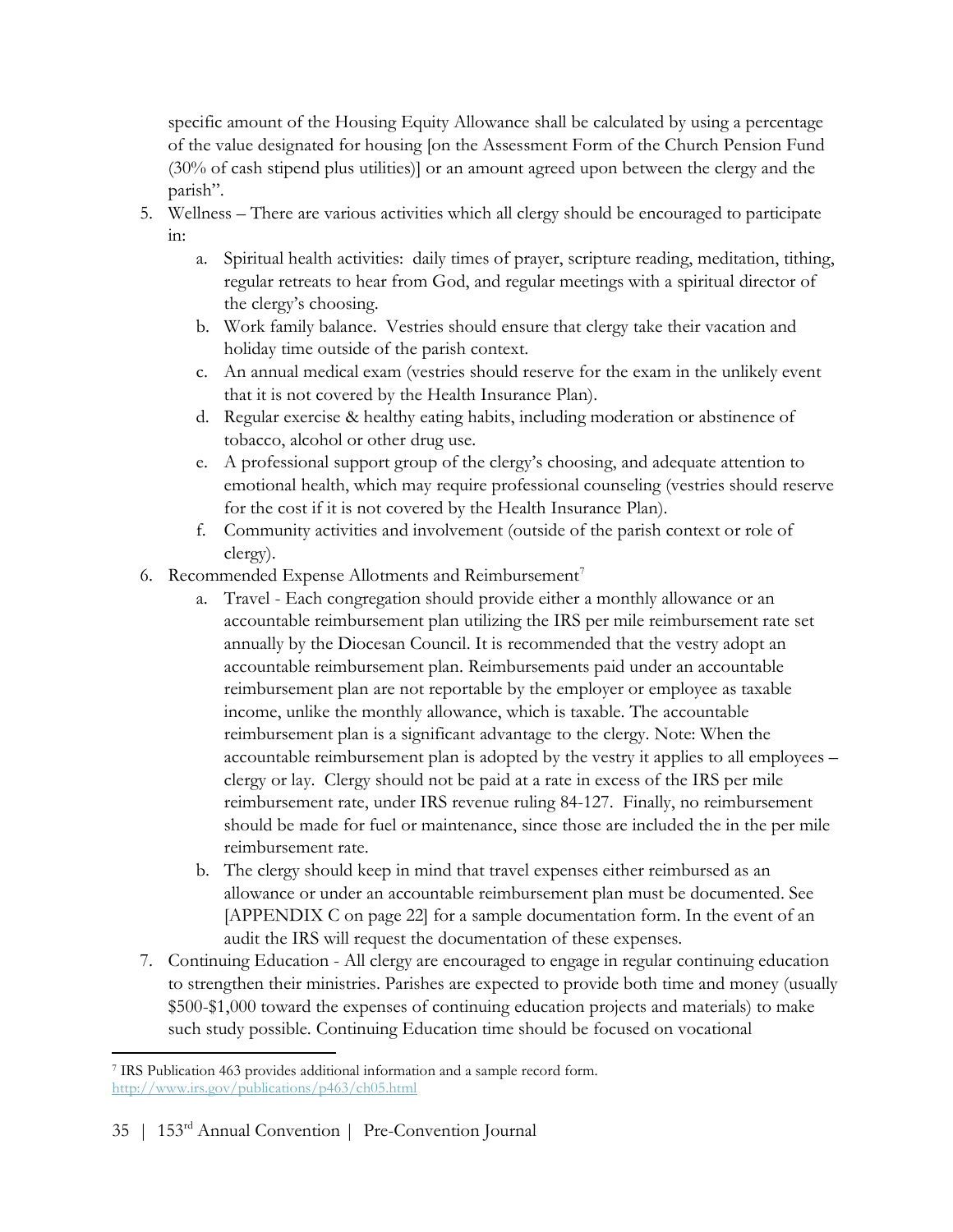specific amount of the Housing Equity Allowance shall be calculated by using a percentage of the value designated for housing [on the Assessment Form of the Church Pension Fund (30% of cash stipend plus utilities)] or an amount agreed upon between the clergy and the parish".

- 5. Wellness There are various activities which all clergy should be encouraged to participate in:
	- a. Spiritual health activities: daily times of prayer, scripture reading, meditation, tithing, regular retreats to hear from God, and regular meetings with a spiritual director of the clergy's choosing.
	- b. Work family balance. Vestries should ensure that clergy take their vacation and holiday time outside of the parish context.
	- c. An annual medical exam (vestries should reserve for the exam in the unlikely event that it is not covered by the Health Insurance Plan).
	- d. Regular exercise & healthy eating habits, including moderation or abstinence of tobacco, alcohol or other drug use.
	- e. A professional support group of the clergy's choosing, and adequate attention to emotional health, which may require professional counseling (vestries should reserve for the cost if it is not covered by the Health Insurance Plan).
	- f. Community activities and involvement (outside of the parish context or role of clergy).
- 6. Recommended Expense Allotments and Reimbursement<sup>7</sup>
	- a. Travel Each congregation should provide either a monthly allowance or an accountable reimbursement plan utilizing the IRS per mile reimbursement rate set annually by the Diocesan Council. It is recommended that the vestry adopt an accountable reimbursement plan. Reimbursements paid under an accountable reimbursement plan are not reportable by the employer or employee as taxable income, unlike the monthly allowance, which is taxable. The accountable reimbursement plan is a significant advantage to the clergy. Note: When the accountable reimbursement plan is adopted by the vestry it applies to all employees – clergy or lay. Clergy should not be paid at a rate in excess of the IRS per mile reimbursement rate, under IRS revenue ruling 84-127. Finally, no reimbursement should be made for fuel or maintenance, since those are included the in the per mile reimbursement rate.
	- b. The clergy should keep in mind that travel expenses either reimbursed as an allowance or under an accountable reimbursement plan must be documented. See [APPENDIX C on page 22] for a sample documentation form. In the event of an audit the IRS will request the documentation of these expenses.
- 7. Continuing Education All clergy are encouraged to engage in regular continuing education to strengthen their ministries. Parishes are expected to provide both time and money (usually \$500-\$1,000 toward the expenses of continuing education projects and materials) to make such study possible. Continuing Education time should be focused on vocational

 $\overline{a}$ 7 IRS Publication 463 provides additional information and a sample record form. http://www.irs.gov/publications/p463/ch05.html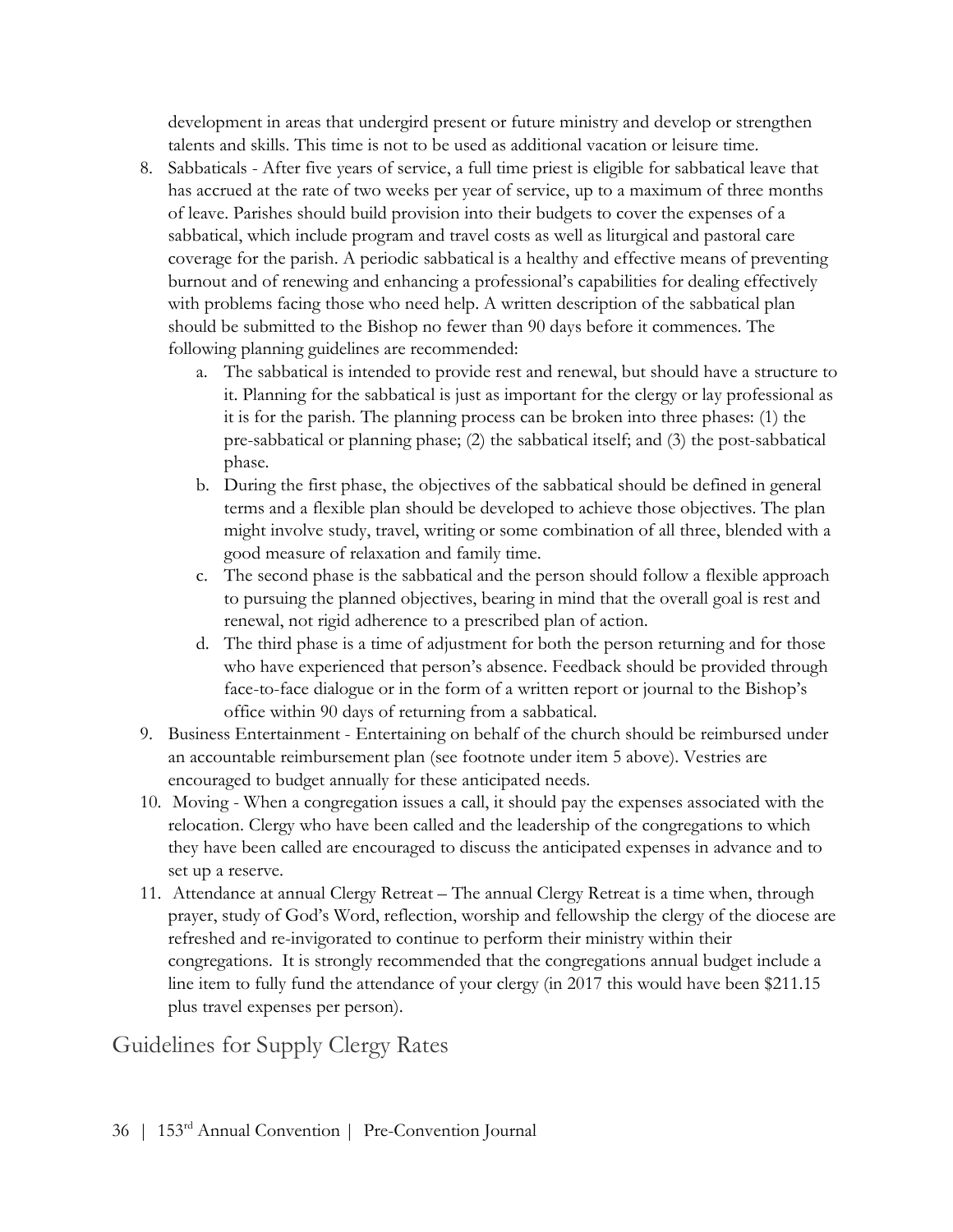development in areas that undergird present or future ministry and develop or strengthen talents and skills. This time is not to be used as additional vacation or leisure time.

- 8. Sabbaticals After five years of service, a full time priest is eligible for sabbatical leave that has accrued at the rate of two weeks per year of service, up to a maximum of three months of leave. Parishes should build provision into their budgets to cover the expenses of a sabbatical, which include program and travel costs as well as liturgical and pastoral care coverage for the parish. A periodic sabbatical is a healthy and effective means of preventing burnout and of renewing and enhancing a professional's capabilities for dealing effectively with problems facing those who need help. A written description of the sabbatical plan should be submitted to the Bishop no fewer than 90 days before it commences. The following planning guidelines are recommended:
	- a. The sabbatical is intended to provide rest and renewal, but should have a structure to it. Planning for the sabbatical is just as important for the clergy or lay professional as it is for the parish. The planning process can be broken into three phases: (1) the pre-sabbatical or planning phase; (2) the sabbatical itself; and (3) the post-sabbatical phase.
	- b. During the first phase, the objectives of the sabbatical should be defined in general terms and a flexible plan should be developed to achieve those objectives. The plan might involve study, travel, writing or some combination of all three, blended with a good measure of relaxation and family time.
	- c. The second phase is the sabbatical and the person should follow a flexible approach to pursuing the planned objectives, bearing in mind that the overall goal is rest and renewal, not rigid adherence to a prescribed plan of action.
	- d. The third phase is a time of adjustment for both the person returning and for those who have experienced that person's absence. Feedback should be provided through face-to-face dialogue or in the form of a written report or journal to the Bishop's office within 90 days of returning from a sabbatical.
- 9. Business Entertainment Entertaining on behalf of the church should be reimbursed under an accountable reimbursement plan (see footnote under item 5 above). Vestries are encouraged to budget annually for these anticipated needs.
- 10. Moving When a congregation issues a call, it should pay the expenses associated with the relocation. Clergy who have been called and the leadership of the congregations to which they have been called are encouraged to discuss the anticipated expenses in advance and to set up a reserve.
- 11. Attendance at annual Clergy Retreat The annual Clergy Retreat is a time when, through prayer, study of God's Word, reflection, worship and fellowship the clergy of the diocese are refreshed and re-invigorated to continue to perform their ministry within their congregations. It is strongly recommended that the congregations annual budget include a line item to fully fund the attendance of your clergy (in 2017 this would have been \$211.15 plus travel expenses per person).

Guidelines for Supply Clergy Rates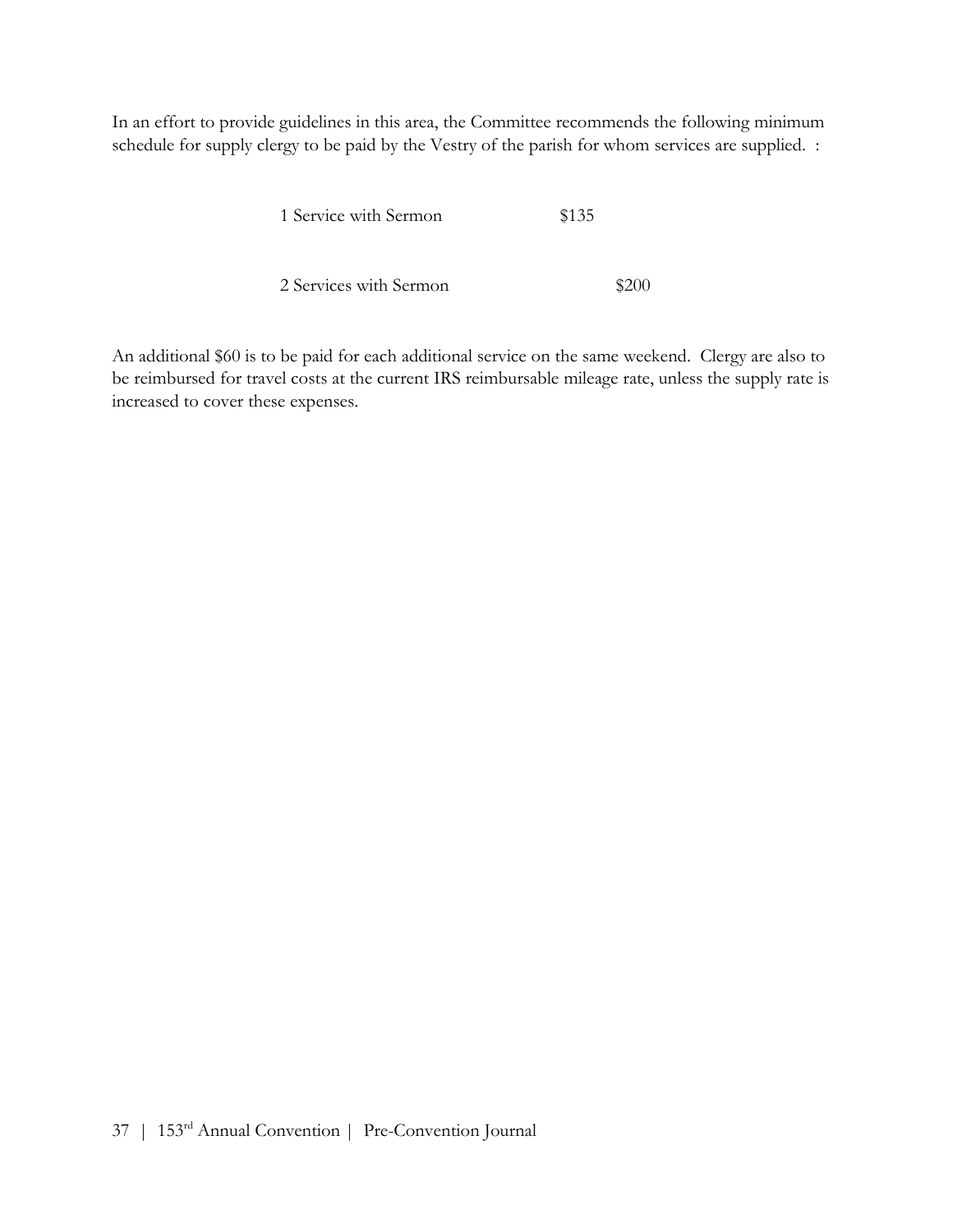In an effort to provide guidelines in this area, the Committee recommends the following minimum schedule for supply clergy to be paid by the Vestry of the parish for whom services are supplied. :

| 1 Service with Sermon  | \$135 |  |
|------------------------|-------|--|
|                        |       |  |
| 2 Services with Sermon |       |  |

An additional \$60 is to be paid for each additional service on the same weekend. Clergy are also to be reimbursed for travel costs at the current IRS reimbursable mileage rate, unless the supply rate is increased to cover these expenses.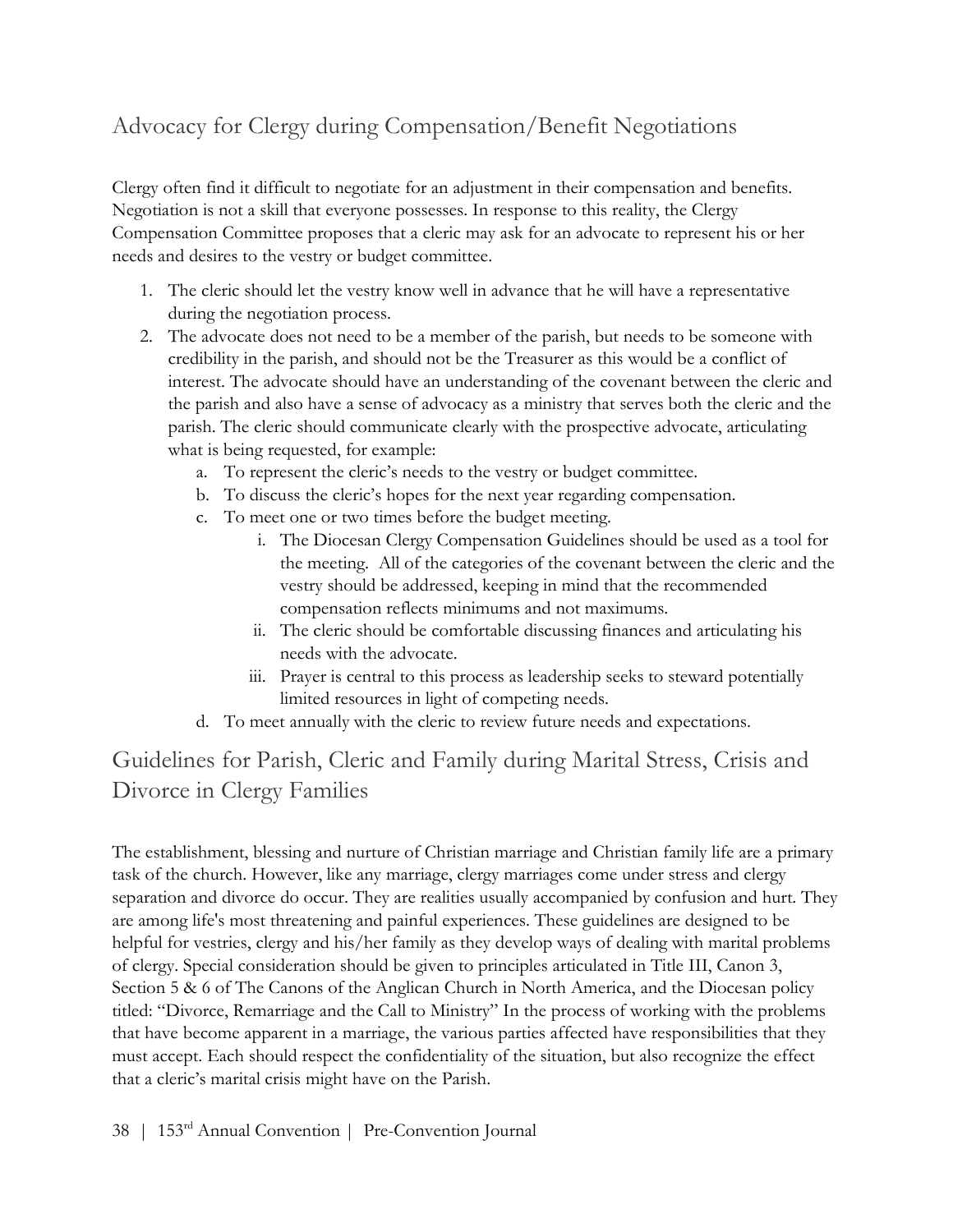## Advocacy for Clergy during Compensation/Benefit Negotiations

Clergy often find it difficult to negotiate for an adjustment in their compensation and benefits. Negotiation is not a skill that everyone possesses. In response to this reality, the Clergy Compensation Committee proposes that a cleric may ask for an advocate to represent his or her needs and desires to the vestry or budget committee.

- 1. The cleric should let the vestry know well in advance that he will have a representative during the negotiation process.
- 2. The advocate does not need to be a member of the parish, but needs to be someone with credibility in the parish, and should not be the Treasurer as this would be a conflict of interest. The advocate should have an understanding of the covenant between the cleric and the parish and also have a sense of advocacy as a ministry that serves both the cleric and the parish. The cleric should communicate clearly with the prospective advocate, articulating what is being requested, for example:
	- a. To represent the cleric's needs to the vestry or budget committee.
	- b. To discuss the cleric's hopes for the next year regarding compensation.
	- c. To meet one or two times before the budget meeting.
		- i. The Diocesan Clergy Compensation Guidelines should be used as a tool for the meeting. All of the categories of the covenant between the cleric and the vestry should be addressed, keeping in mind that the recommended compensation reflects minimums and not maximums.
		- ii. The cleric should be comfortable discussing finances and articulating his needs with the advocate.
		- iii. Prayer is central to this process as leadership seeks to steward potentially limited resources in light of competing needs.
	- d. To meet annually with the cleric to review future needs and expectations.

## Guidelines for Parish, Cleric and Family during Marital Stress, Crisis and Divorce in Clergy Families

The establishment, blessing and nurture of Christian marriage and Christian family life are a primary task of the church. However, like any marriage, clergy marriages come under stress and clergy separation and divorce do occur. They are realities usually accompanied by confusion and hurt. They are among life's most threatening and painful experiences. These guidelines are designed to be helpful for vestries, clergy and his/her family as they develop ways of dealing with marital problems of clergy. Special consideration should be given to principles articulated in Title III, Canon 3, Section 5 & 6 of The Canons of the Anglican Church in North America, and the Diocesan policy titled: "Divorce, Remarriage and the Call to Ministry" In the process of working with the problems that have become apparent in a marriage, the various parties affected have responsibilities that they must accept. Each should respect the confidentiality of the situation, but also recognize the effect that a cleric's marital crisis might have on the Parish.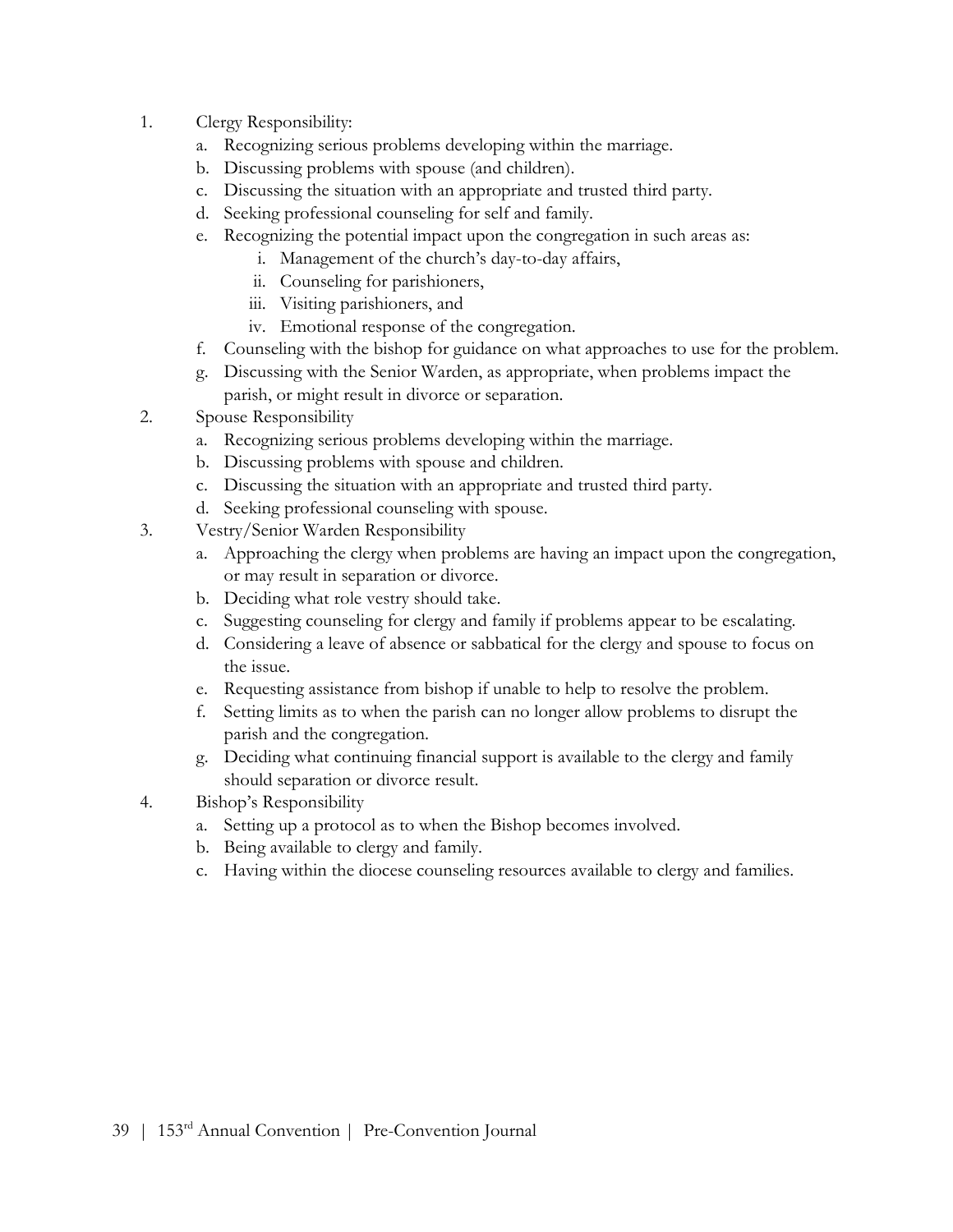- 1. Clergy Responsibility:
	- a. Recognizing serious problems developing within the marriage.
	- b. Discussing problems with spouse (and children).
	- c. Discussing the situation with an appropriate and trusted third party.
	- d. Seeking professional counseling for self and family.
	- e. Recognizing the potential impact upon the congregation in such areas as:
		- i. Management of the church's day-to-day affairs,
		- ii. Counseling for parishioners,
		- iii. Visiting parishioners, and
		- iv. Emotional response of the congregation.
	- f. Counseling with the bishop for guidance on what approaches to use for the problem.
	- g. Discussing with the Senior Warden, as appropriate, when problems impact the parish, or might result in divorce or separation.
- 2. Spouse Responsibility
	- a. Recognizing serious problems developing within the marriage.
	- b. Discussing problems with spouse and children.
	- c. Discussing the situation with an appropriate and trusted third party.
	- d. Seeking professional counseling with spouse.
- 3. Vestry/Senior Warden Responsibility
	- a. Approaching the clergy when problems are having an impact upon the congregation, or may result in separation or divorce.
	- b. Deciding what role vestry should take.
	- c. Suggesting counseling for clergy and family if problems appear to be escalating.
	- d. Considering a leave of absence or sabbatical for the clergy and spouse to focus on the issue.
	- e. Requesting assistance from bishop if unable to help to resolve the problem.
	- f. Setting limits as to when the parish can no longer allow problems to disrupt the parish and the congregation.
	- g. Deciding what continuing financial support is available to the clergy and family should separation or divorce result.
- 4. Bishop's Responsibility
	- a. Setting up a protocol as to when the Bishop becomes involved.
	- b. Being available to clergy and family.
	- c. Having within the diocese counseling resources available to clergy and families.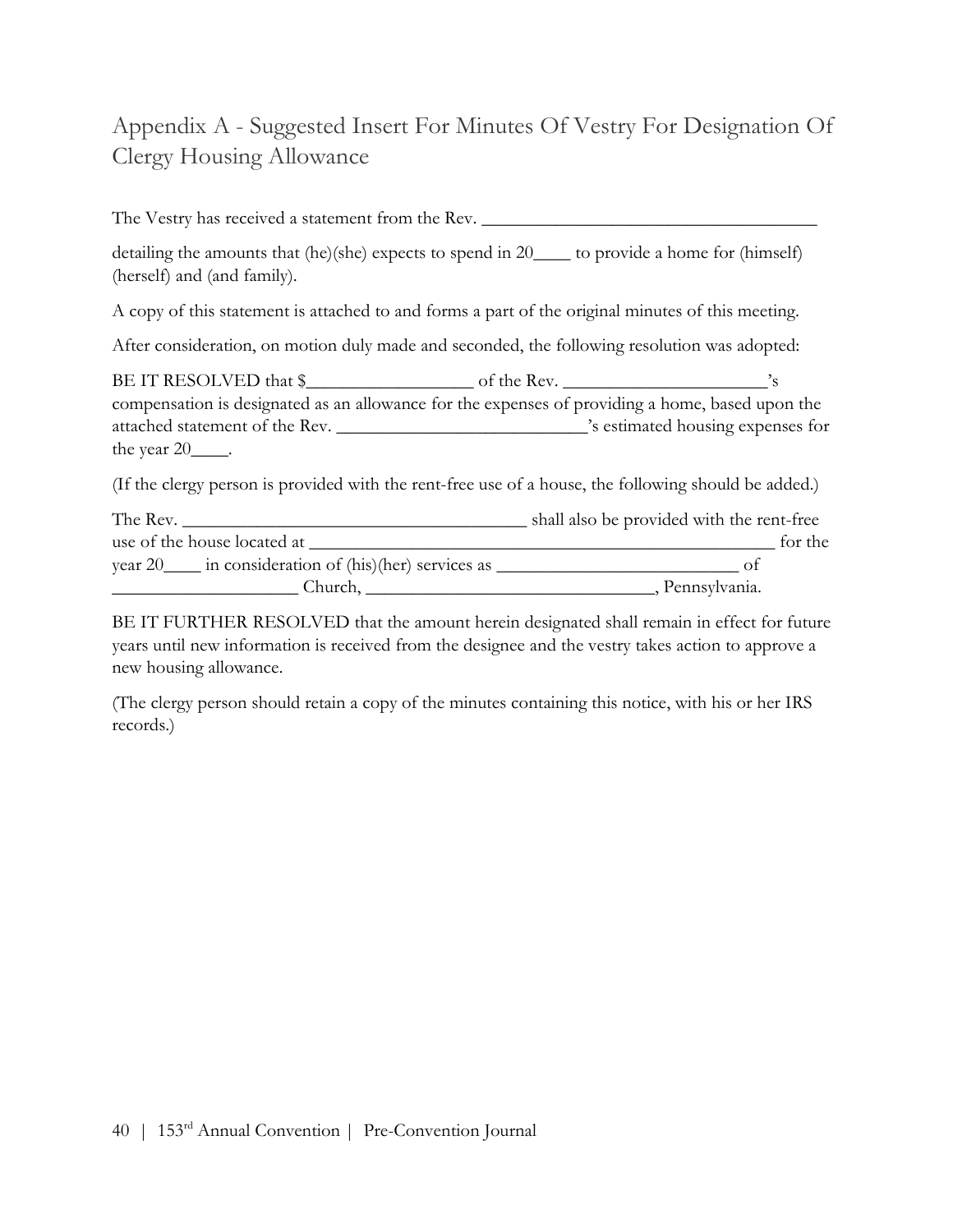## Appendix A - Suggested Insert For Minutes Of Vestry For Designation Of Clergy Housing Allowance

The Vestry has received a statement from the Rev. \_\_\_\_\_\_\_\_\_\_\_\_\_\_\_\_\_\_\_\_\_\_\_\_\_\_\_\_\_\_\_ detailing the amounts that (he)(she) expects to spend in 20\_\_\_\_ to provide a home for (himself) (herself) and (and family). A copy of this statement is attached to and forms a part of the original minutes of this meeting. After consideration, on motion duly made and seconded, the following resolution was adopted: BE IT RESOLVED that \$\_\_\_\_\_\_\_\_\_\_\_\_\_\_\_\_\_\_ of the Rev. \_\_\_\_\_\_\_\_\_\_\_\_\_\_\_\_\_\_\_\_\_\_'s compensation is designated as an allowance for the expenses of providing a home, based upon the attached statement of the Rev. \_\_\_\_\_\_\_\_\_\_\_\_\_\_\_\_\_\_\_\_\_\_\_\_\_\_\_'s estimated housing expenses for the year 20  $\qquad$ . (If the clergy person is provided with the rent-free use of a house, the following should be added.) The Rev. \_\_\_\_\_\_\_\_\_\_\_\_\_\_\_\_\_\_\_\_\_\_\_\_\_\_\_\_\_\_\_\_\_\_\_\_\_ shall also be provided with the rent-free use of the house located at \_\_\_\_\_\_\_\_\_\_\_\_\_\_\_\_\_\_\_\_\_\_\_\_\_\_\_\_\_\_\_\_\_\_\_\_\_\_\_\_\_\_\_\_\_\_\_\_\_\_ for the year 20\_\_\_\_ in consideration of (his)(her) services as \_\_\_\_\_\_\_\_\_\_\_\_\_\_\_\_\_\_\_\_\_\_\_\_\_\_ of \_\_\_\_\_\_\_\_\_\_\_\_\_\_\_\_\_\_\_\_ Church, \_\_\_\_\_\_\_\_\_\_\_\_\_\_\_\_\_\_\_\_\_\_\_\_\_\_\_\_\_\_\_, Pennsylvania.

BE IT FURTHER RESOLVED that the amount herein designated shall remain in effect for future years until new information is received from the designee and the vestry takes action to approve a new housing allowance.

(The clergy person should retain a copy of the minutes containing this notice, with his or her IRS records.)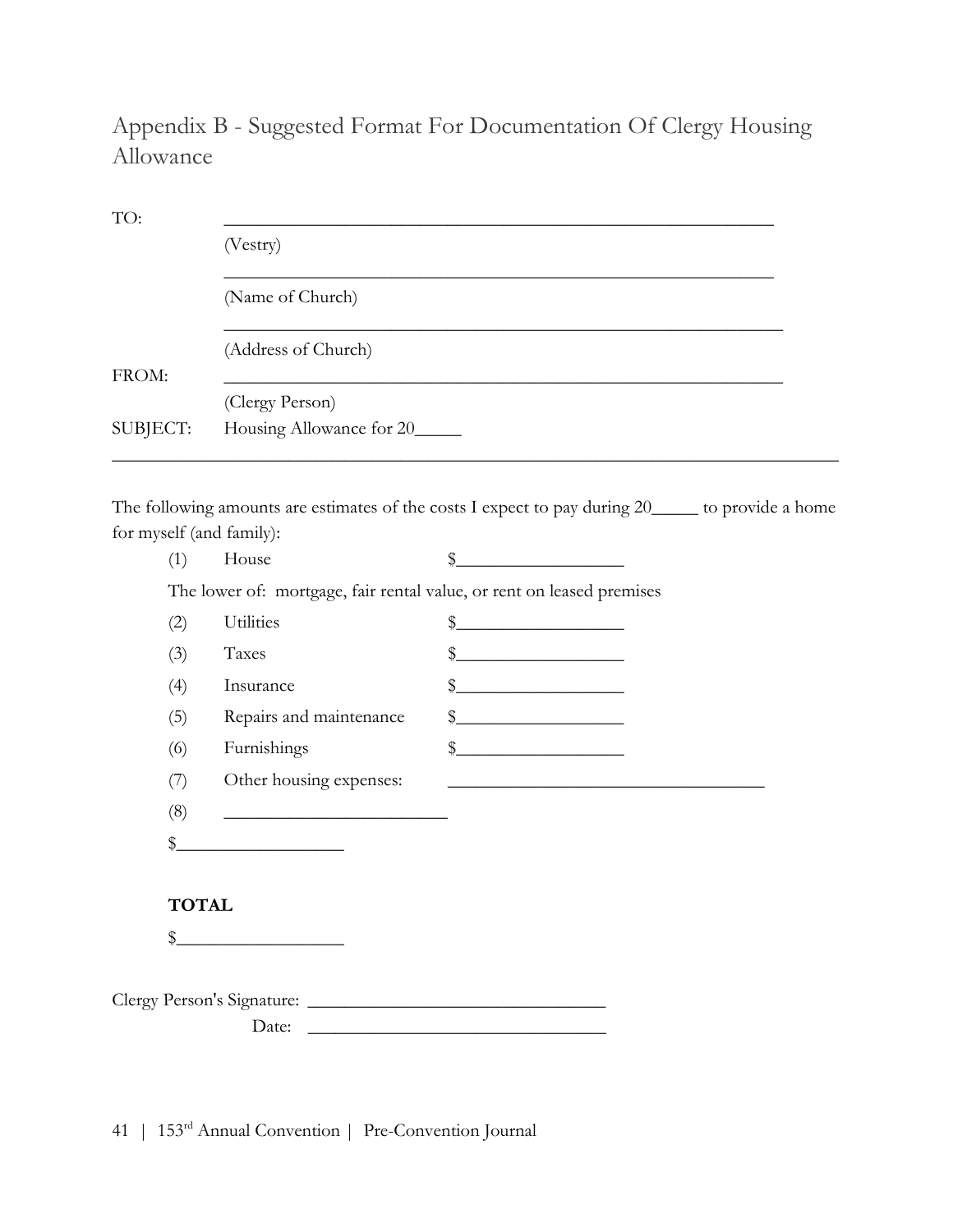## Appendix B - Suggested Format For Documentation Of Clergy Housing Allowance

| TO:                             |                                                                                                            |                                                                                                                                                                                                                                                                                                                     |  |  |  |
|---------------------------------|------------------------------------------------------------------------------------------------------------|---------------------------------------------------------------------------------------------------------------------------------------------------------------------------------------------------------------------------------------------------------------------------------------------------------------------|--|--|--|
|                                 | (Vestry)<br>(Name of Church)                                                                               |                                                                                                                                                                                                                                                                                                                     |  |  |  |
|                                 |                                                                                                            |                                                                                                                                                                                                                                                                                                                     |  |  |  |
|                                 | (Address of Church)                                                                                        |                                                                                                                                                                                                                                                                                                                     |  |  |  |
| FROM:                           | (Clergy Person)                                                                                            |                                                                                                                                                                                                                                                                                                                     |  |  |  |
| SUBJECT:                        | Housing Allowance for 20_____                                                                              |                                                                                                                                                                                                                                                                                                                     |  |  |  |
|                                 |                                                                                                            |                                                                                                                                                                                                                                                                                                                     |  |  |  |
| for myself (and family):<br>(1) | The following amounts are estimates of the costs I expect to pay during 20_____ to provide a home<br>House | $\frac{1}{2}$                                                                                                                                                                                                                                                                                                       |  |  |  |
|                                 |                                                                                                            |                                                                                                                                                                                                                                                                                                                     |  |  |  |
|                                 | The lower of: mortgage, fair rental value, or rent on leased premises                                      |                                                                                                                                                                                                                                                                                                                     |  |  |  |
| (2)                             | Utilities                                                                                                  | <u> 1990 - Johann Barbara, martx</u><br>\$                                                                                                                                                                                                                                                                          |  |  |  |
| (3)                             | Taxes                                                                                                      | \$                                                                                                                                                                                                                                                                                                                  |  |  |  |
| (4)                             | Insurance                                                                                                  | $\frac{1}{2}$ $\frac{1}{2}$ $\frac{1}{2}$ $\frac{1}{2}$ $\frac{1}{2}$ $\frac{1}{2}$ $\frac{1}{2}$ $\frac{1}{2}$ $\frac{1}{2}$ $\frac{1}{2}$ $\frac{1}{2}$ $\frac{1}{2}$ $\frac{1}{2}$ $\frac{1}{2}$ $\frac{1}{2}$ $\frac{1}{2}$ $\frac{1}{2}$ $\frac{1}{2}$ $\frac{1}{2}$ $\frac{1}{2}$ $\frac{1}{2}$ $\frac{1}{2}$ |  |  |  |
| (5)                             | Repairs and maintenance                                                                                    | $\frac{1}{2}$                                                                                                                                                                                                                                                                                                       |  |  |  |
| (6)                             | Furnishings                                                                                                | $\frac{1}{2}$ $\frac{1}{2}$ $\frac{1}{2}$ $\frac{1}{2}$ $\frac{1}{2}$ $\frac{1}{2}$ $\frac{1}{2}$ $\frac{1}{2}$ $\frac{1}{2}$ $\frac{1}{2}$ $\frac{1}{2}$ $\frac{1}{2}$ $\frac{1}{2}$ $\frac{1}{2}$ $\frac{1}{2}$ $\frac{1}{2}$ $\frac{1}{2}$ $\frac{1}{2}$ $\frac{1}{2}$ $\frac{1}{2}$ $\frac{1}{2}$ $\frac{1}{2}$ |  |  |  |
| (7)                             | Other housing expenses:                                                                                    |                                                                                                                                                                                                                                                                                                                     |  |  |  |
| (8)                             |                                                                                                            |                                                                                                                                                                                                                                                                                                                     |  |  |  |

### TOTAL

 $\frac{1}{2}$ 

| Clergy Person's Signature: |  |
|----------------------------|--|
| Date:                      |  |